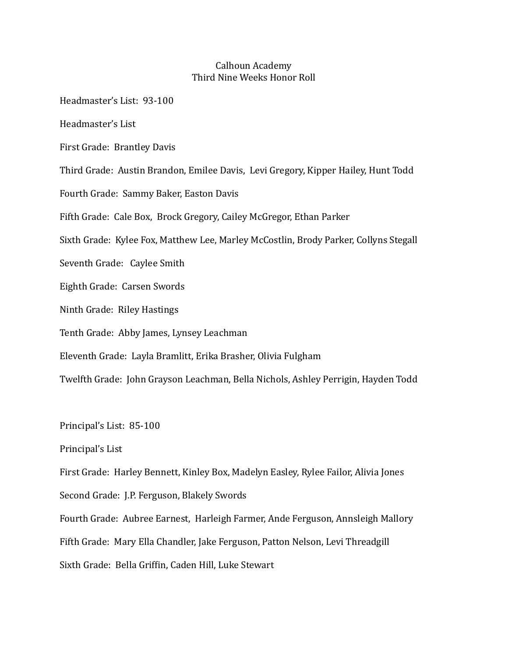## Calhoun Academy Third Nine Weeks Honor Roll

Headmaster's List: 93-100

Headmaster's List

First Grade: Brantley Davis

Third Grade: Austin Brandon, Emilee Davis, Levi Gregory, Kipper Hailey, Hunt Todd

Fourth Grade: Sammy Baker, Easton Davis

Fifth Grade: Cale Box, Brock Gregory, Cailey McGregor, Ethan Parker

Sixth Grade: Kylee Fox, Matthew Lee, Marley McCostlin, Brody Parker, Collyns Stegall

Seventh Grade: Caylee Smith

Eighth Grade: Carsen Swords

Ninth Grade: Riley Hastings

Tenth Grade: Abby James, Lynsey Leachman

Eleventh Grade: Layla Bramlitt, Erika Brasher, Olivia Fulgham

Twelfth Grade: John Grayson Leachman, Bella Nichols, Ashley Perrigin, Hayden Todd

Principal's List: 85-100

Principal's List

First Grade: Harley Bennett, Kinley Box, Madelyn Easley, Rylee Failor, Alivia Jones

Second Grade: J.P. Ferguson, Blakely Swords

Fourth Grade: Aubree Earnest, Harleigh Farmer, Ande Ferguson, Annsleigh Mallory

Fifth Grade: Mary Ella Chandler, Jake Ferguson, Patton Nelson, Levi Threadgill

Sixth Grade: Bella Griffin, Caden Hill, Luke Stewart